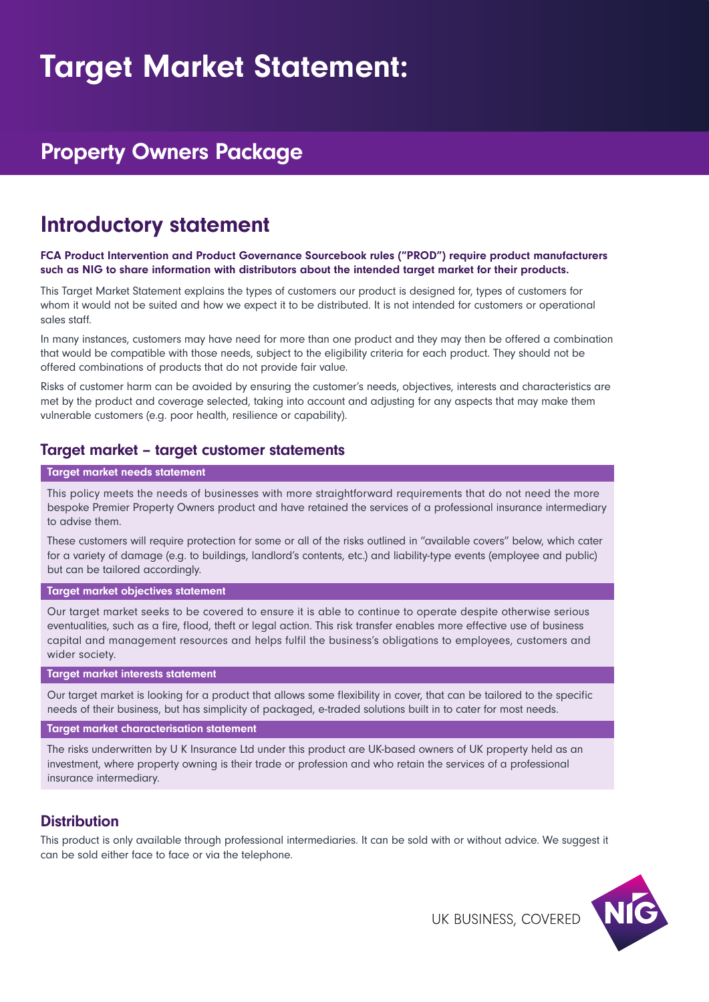# Target Market Statement:

## Property Owners Package

## Introductory statement

#### FCA Product Intervention and Product Governance Sourcebook rules ("PROD") require product manufacturers such as NIG to share information with distributors about the intended target market for their products.

This Target Market Statement explains the types of customers our product is designed for, types of customers for whom it would not be suited and how we expect it to be distributed. It is not intended for customers or operational sales staff.

In many instances, customers may have need for more than one product and they may then be offered a combination that would be compatible with those needs, subject to the eligibility criteria for each product. They should not be offered combinations of products that do not provide fair value.

Risks of customer harm can be avoided by ensuring the customer's needs, objectives, interests and characteristics are met by the product and coverage selected, taking into account and adjusting for any aspects that may make them vulnerable customers (e.g. poor health, resilience or capability).

### Target market – target customer statements

#### Target market needs statement

This policy meets the needs of businesses with more straightforward requirements that do not need the more bespoke Premier Property Owners product and have retained the services of a professional insurance intermediary to advise them.

These customers will require protection for some or all of the risks outlined in "available covers" below, which cater for a variety of damage (e.g. to buildings, landlord's contents, etc.) and liability-type events (employee and public) but can be tailored accordingly.

#### Target market objectives statement

Our target market seeks to be covered to ensure it is able to continue to operate despite otherwise serious eventualities, such as a fire, flood, theft or legal action. This risk transfer enables more effective use of business capital and management resources and helps fulfil the business's obligations to employees, customers and wider society.

#### Target market interests statement

Our target market is looking for a product that allows some flexibility in cover, that can be tailored to the specific needs of their business, but has simplicity of packaged, e-traded solutions built in to cater for most needs.

#### Target market characterisation statement

The risks underwritten by U K Insurance Ltd under this product are UK-based owners of UK property held as an investment, where property owning is their trade or profession and who retain the services of a professional insurance intermediary.

### **Distribution**

This product is only available through professional intermediaries. It can be sold with or without advice. We suggest it can be sold either face to face or via the telephone.



UK BUSINESS, COVERED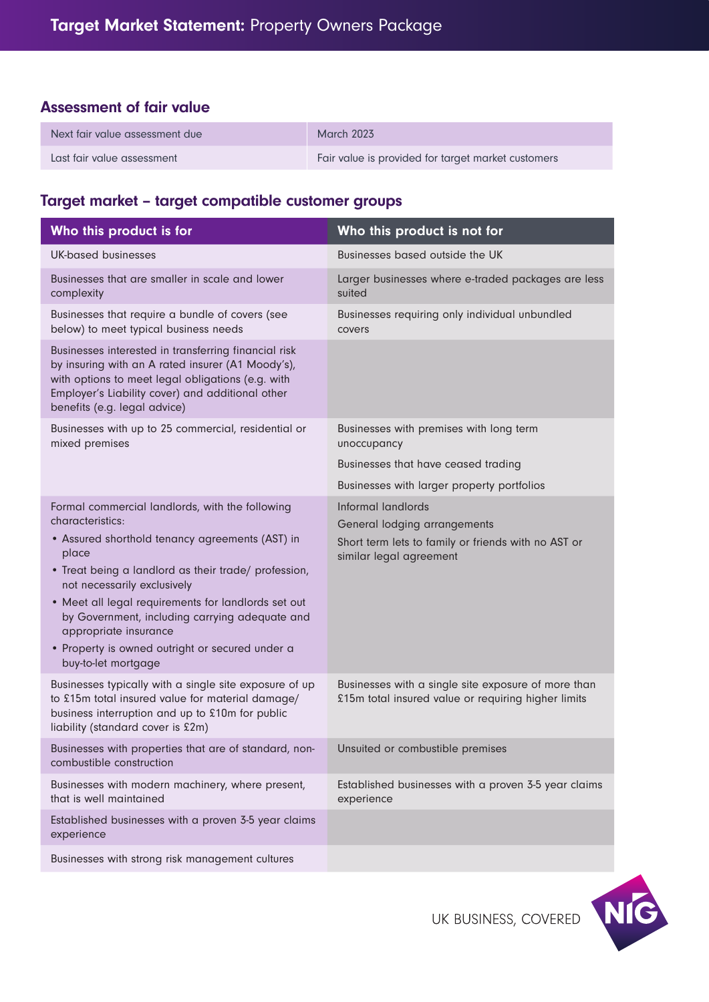## Assessment of fair value

| Next fair value assessment due | March 2023                                         |
|--------------------------------|----------------------------------------------------|
| Last fair value assessment     | Fair value is provided for target market customers |

## Target market – target compatible customer groups

| Who this product is for                                                                                                                                                                                                                                                                                                                                                                                                            | Who this product is not for                                                                                                          |
|------------------------------------------------------------------------------------------------------------------------------------------------------------------------------------------------------------------------------------------------------------------------------------------------------------------------------------------------------------------------------------------------------------------------------------|--------------------------------------------------------------------------------------------------------------------------------------|
| <b>UK-based businesses</b>                                                                                                                                                                                                                                                                                                                                                                                                         | Businesses based outside the UK                                                                                                      |
| Businesses that are smaller in scale and lower<br>complexity                                                                                                                                                                                                                                                                                                                                                                       | Larger businesses where e-traded packages are less<br>suited                                                                         |
| Businesses that require a bundle of covers (see<br>below) to meet typical business needs                                                                                                                                                                                                                                                                                                                                           | Businesses requiring only individual unbundled<br>covers                                                                             |
| Businesses interested in transferring financial risk<br>by insuring with an A rated insurer (A1 Moody's),<br>with options to meet legal obligations (e.g. with<br>Employer's Liability cover) and additional other<br>benefits (e.g. legal advice)                                                                                                                                                                                 |                                                                                                                                      |
| Businesses with up to 25 commercial, residential or<br>mixed premises                                                                                                                                                                                                                                                                                                                                                              | Businesses with premises with long term<br>unoccupancy                                                                               |
|                                                                                                                                                                                                                                                                                                                                                                                                                                    | Businesses that have ceased trading                                                                                                  |
|                                                                                                                                                                                                                                                                                                                                                                                                                                    | Businesses with larger property portfolios                                                                                           |
| Formal commercial landlords, with the following<br>characteristics:<br>• Assured shorthold tenancy agreements (AST) in<br>place<br>• Treat being a landlord as their trade/ profession,<br>not necessarily exclusively<br>• Meet all legal requirements for landlords set out<br>by Government, including carrying adequate and<br>appropriate insurance<br>• Property is owned outright or secured under a<br>buy-to-let mortgage | Informal landlords<br>General lodging arrangements<br>Short term lets to family or friends with no AST or<br>similar legal agreement |
| Businesses typically with a single site exposure of up<br>to £15m total insured value for material damage/<br>business interruption and up to £10m for public<br>liability (standard cover is £2m)                                                                                                                                                                                                                                 | Businesses with a single site exposure of more than<br>£15m total insured value or requiring higher limits                           |
| Businesses with properties that are of standard, non-<br>combustible construction                                                                                                                                                                                                                                                                                                                                                  | Unsuited or combustible premises                                                                                                     |
| Businesses with modern machinery, where present,<br>that is well maintained                                                                                                                                                                                                                                                                                                                                                        | Established businesses with a proven 3-5 year claims<br>experience                                                                   |
| Established businesses with a proven 3-5 year claims<br>experience                                                                                                                                                                                                                                                                                                                                                                 |                                                                                                                                      |
| Businesses with strong risk management cultures                                                                                                                                                                                                                                                                                                                                                                                    |                                                                                                                                      |